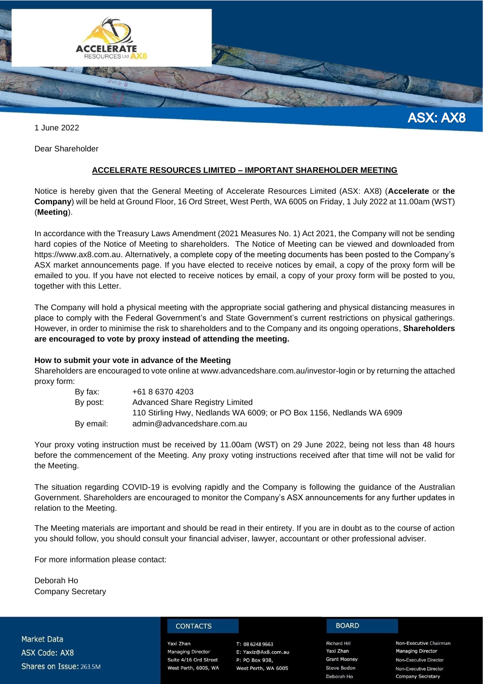

1 June 2022

Dear Shareholder

#### **ACCELERATE RESOURCES LIMITED – IMPORTANT SHAREHOLDER MEETING**

Notice is hereby given that the General Meeting of Accelerate Resources Limited (ASX: AX8) (**Accelerate** or **the Company**) will be held at Ground Floor, 16 Ord Street, West Perth, WA 6005 on Friday, 1 July 2022 at 11.00am (WST) (**Meeting**).

In accordance with the Treasury Laws Amendment (2021 Measures No. 1) Act 2021, the Company will not be sending hard copies of the Notice of Meeting to shareholders. The Notice of Meeting can be viewed and downloaded from https://www.ax8.com.au. Alternatively, a complete copy of the meeting documents has been posted to the Company's ASX market announcements page. If you have elected to receive notices by email, a copy of the proxy form will be emailed to you. If you have not elected to receive notices by email, a copy of your proxy form will be posted to you, together with this Letter.

The Company will hold a physical meeting with the appropriate social gathering and physical distancing measures in place to comply with the Federal Government's and State Government's current restrictions on physical gatherings. However, in order to minimise the risk to shareholders and to the Company and its ongoing operations, **Shareholders are encouraged to vote by proxy instead of attending the meeting.**

#### **How to submit your vote in advance of the Meeting**

Shareholders are encouraged to vote online at www.advancedshare.com.au/investor-login or by returning the attached proxy form:

| By fax:   | +61 8 6370 4203                                                      |
|-----------|----------------------------------------------------------------------|
| By post:  | Advanced Share Registry Limited                                      |
|           | 110 Stirling Hwy, Nedlands WA 6009; or PO Box 1156, Nedlands WA 6909 |
| By email: | admin@advancedshare.com.au                                           |

Your proxy voting instruction must be received by 11.00am (WST) on 29 June 2022, being not less than 48 hours before the commencement of the Meeting. Any proxy voting instructions received after that time will not be valid for the Meeting.

The situation regarding COVID-19 is evolving rapidly and the Company is following the guidance of the Australian Government. Shareholders are encouraged to monitor the Company's ASX announcements for any further updates in relation to the Meeting.

The Meeting materials are important and should be read in their entirety. If you are in doubt as to the course of action you should follow, you should consult your financial adviser, lawyer, accountant or other professional adviser.

For more information please contact:

Deborah Ho Company Secretary

**Market Data ASX Code: AX8** Shares on Issue: 263.5M

#### **CONTACTS**

Yaxi Zhan **Managing Director** Suite 4/16 Ord Street West Perth, 6005, WA

#### T: 08 6248 9663 E: Yaxiz@Ax8.com.au P: PO Box 938,

West Perth, WA 6005

**BOARD** 

**Richard Hill** Yaxi Zhan **Grant Mooney Steve Bodon** Deborah Ho

Non-Executive Chairman **Managing Director** Non-Executive Director Non-Executive Director **Company Secretary**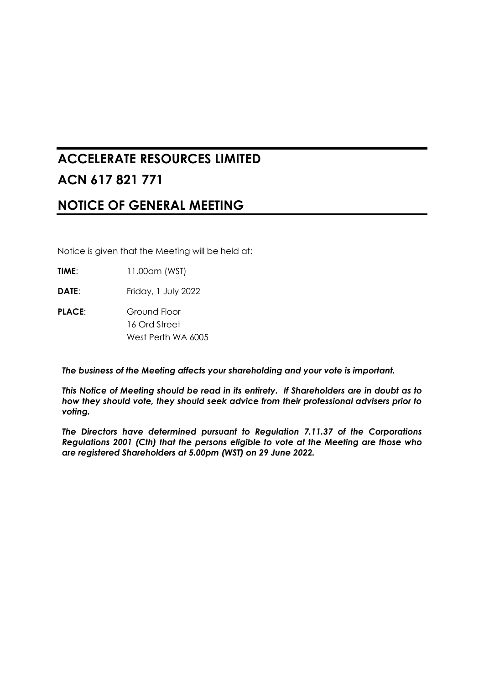# **ACCELERATE RESOURCES LIMITED ACN 617 821 771**

# **NOTICE OF GENERAL MEETING**

Notice is given that the Meeting will be held at:

**TIME**: 11.00am (WST)

**DATE:** Friday, 1 July 2022

**PLACE**: Ground Floor 16 Ord Street West Perth WA 6005

*The business of the Meeting affects your shareholding and your vote is important.*

*This Notice of Meeting should be read in its entirety. If Shareholders are in doubt as to how they should vote, they should seek advice from their professional advisers prior to voting.*

*The Directors have determined pursuant to Regulation 7.11.37 of the Corporations Regulations 2001 (Cth) that the persons eligible to vote at the Meeting are those who are registered Shareholders at 5.00pm (WST) on 29 June 2022.*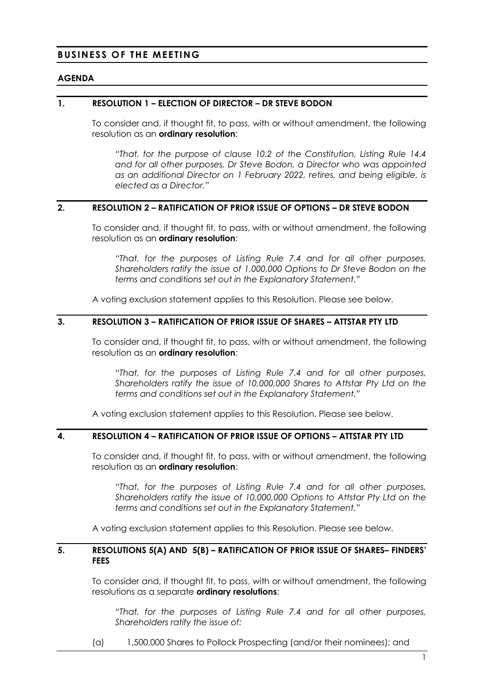# **BUSINESS OF THE MEETING**

#### **AGENDA**

#### <span id="page-2-1"></span>**1. RESOLUTION 1 – ELECTION OF DIRECTOR – DR STEVE BODON**

To consider and, if thought fit, to pass, with or without amendment, the following resolution as an **ordinary resolution**:

*"That, for the purpose of clause 10.2 of the Constitution, Listing Rule 14.4 and for all other purposes, Dr Steve Bodon, a Director who was appointed as an additional Director on 1 February 2022, retires, and being eligible, is elected as a Director."*

#### <span id="page-2-0"></span>**2. RESOLUTION 2 – RATIFICATION OF PRIOR ISSUE OF OPTIONS – DR STEVE BODON**

To consider and, if thought fit, to pass, with or without amendment, the following resolution as an **ordinary resolution**:

*"That, for the purposes of Listing Rule 7.4 and for all other purposes, Shareholders ratify the issue of 1,000,000 Options to Dr Steve Bodon on the terms and conditions set out in the Explanatory Statement."*

A voting exclusion statement applies to this Resolution. Please see below.

#### **3. RESOLUTION 3 – RATIFICATION OF PRIOR ISSUE OF SHARES – ATTSTAR PTY LTD**

To consider and, if thought fit, to pass, with or without amendment, the following resolution as an **ordinary resolution**:

*"That, for the purposes of Listing Rule 7.4 and for all other purposes, Shareholders ratify the issue of 10,000,000 Shares to Attstar Pty Ltd on the terms and conditions set out in the Explanatory Statement."*

A voting exclusion statement applies to this Resolution. Please see below.

#### **4. RESOLUTION 4 – RATIFICATION OF PRIOR ISSUE OF OPTIONS – ATTSTAR PTY LTD**

To consider and, if thought fit, to pass, with or without amendment, the following resolution as an **ordinary resolution**:

*"That, for the purposes of Listing Rule 7.4 and for all other purposes, Shareholders ratify the issue of 10,000,000 Options to Attstar Pty Ltd on the terms and conditions set out in the Explanatory Statement."*

A voting exclusion statement applies to this Resolution. Please see below.

#### **5. RESOLUTIONS 5(A) AND 5(B) – RATIFICATION OF PRIOR ISSUE OF SHARES– FINDERS' FEES**

To consider and, if thought fit, to pass, with or without amendment, the following resolutions as a separate **ordinary resolutions**:

*"That, for the purposes of Listing Rule 7.4 and for all other purposes, Shareholders ratify the issue of:*

(a) 1,500,000 Shares to Pollock Prospecting (and/or their nominees); and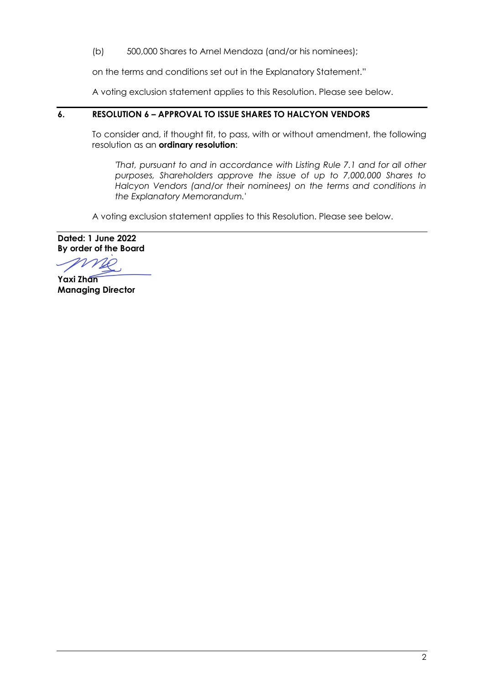(b) 500,000 Shares to Arnel Mendoza (and/or his nominees);

on the terms and conditions set out in the Explanatory Statement."

A voting exclusion statement applies to this Resolution. Please see below.

### **6. RESOLUTION 6 – APPROVAL TO ISSUE SHARES TO HALCYON VENDORS**

To consider and, if thought fit, to pass, with or without amendment, the following resolution as an **ordinary resolution**:

*'That, pursuant to and in accordance with Listing Rule 7.1 and for all other purposes, Shareholders approve the issue of up to 7,000,000 Shares to Halcyon Vendors (and/or their nominees) on the terms and conditions in the Explanatory Memorandum.'*

A voting exclusion statement applies to this Resolution. Please see below.

**Dated: 1 June 2022 By order of the Board**

NO

**Yaxi Zhan Managing Director**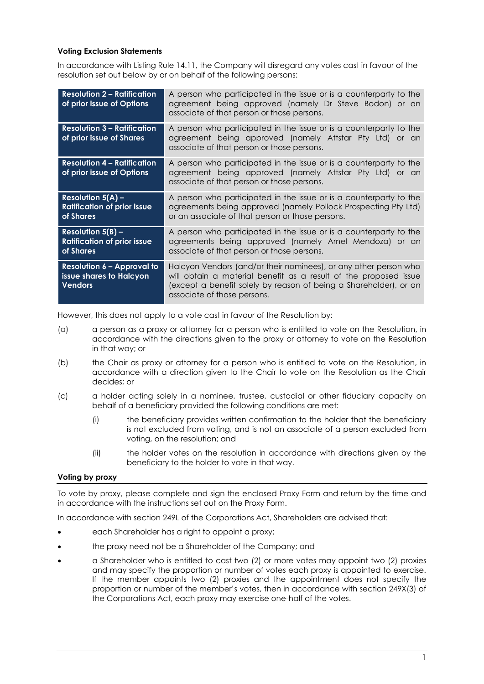#### **Voting Exclusion Statements**

In accordance with Listing Rule 14.11, the Company will disregard any votes cast in favour of the resolution set out below by or on behalf of the following persons:

| <b>Resolution 2 – Ratification</b><br>of prior issue of Options                          | A person who participated in the issue or is a counterparty to the<br>agreement being approved (namely Dr Steve Bodon) or an<br>associate of that person or those persons.                                                               |
|------------------------------------------------------------------------------------------|------------------------------------------------------------------------------------------------------------------------------------------------------------------------------------------------------------------------------------------|
| <b>Resolution 3 - Ratification</b><br>of prior issue of Shares                           | A person who participated in the issue or is a counterparty to the<br>agreement being approved (namely Attstar Pty Ltd) or an<br>associate of that person or those persons.                                                              |
| <b>Resolution 4 – Ratification</b><br>of prior issue of Options                          | A person who participated in the issue or is a counterparty to the<br>agreement being approved (namely Attstar Pty Ltd) or an<br>associate of that person or those persons.                                                              |
| <b>Resolution <math>5(A)</math> –</b><br><b>Ratification of prior issue</b><br>of Shares | A person who participated in the issue or is a counterparty to the<br>agreements being approved (namely Pollock Prospecting Pty Ltd)<br>or an associate of that person or those persons.                                                 |
| Resolution $5(B)$ –<br><b>Ratification of prior issue</b><br>of Shares                   | A person who participated in the issue or is a counterparty to the<br>agreements being approved (namely Arnel Mendoza) or an<br>associate of that person or those persons.                                                               |
| <b>Resolution 6 - Approval to</b><br>issue shares to Halcyon<br><b>Vendors</b>           | Halcyon Vendors (and/or their nominees), or any other person who<br>will obtain a material benefit as a result of the proposed issue<br>(except a benefit solely by reason of being a Shareholder), or an<br>associate of those persons. |

However, this does not apply to a vote cast in favour of the Resolution by:

- (a) a person as a proxy or attorney for a person who is entitled to vote on the Resolution, in accordance with the directions given to the proxy or attorney to vote on the Resolution in that way; or
- (b) the Chair as proxy or attorney for a person who is entitled to vote on the Resolution, in accordance with a direction given to the Chair to vote on the Resolution as the Chair decides; or
- (c) a holder acting solely in a nominee, trustee, custodial or other fiduciary capacity on behalf of a beneficiary provided the following conditions are met:
	- (i) the beneficiary provides written confirmation to the holder that the beneficiary is not excluded from voting, and is not an associate of a person excluded from voting, on the resolution; and
	- (ii) the holder votes on the resolution in accordance with directions given by the beneficiary to the holder to vote in that way.

#### **Voting by proxy**

To vote by proxy, please complete and sign the enclosed Proxy Form and return by the time and in accordance with the instructions set out on the Proxy Form.

In accordance with section 249L of the Corporations Act, Shareholders are advised that:

- each Shareholder has a right to appoint a proxy;
- the proxy need not be a Shareholder of the Company; and
- a Shareholder who is entitled to cast two (2) or more votes may appoint two (2) proxies and may specify the proportion or number of votes each proxy is appointed to exercise. If the member appoints two (2) proxies and the appointment does not specify the proportion or number of the member's votes, then in accordance with section 249X(3) of the Corporations Act, each proxy may exercise one-half of the votes.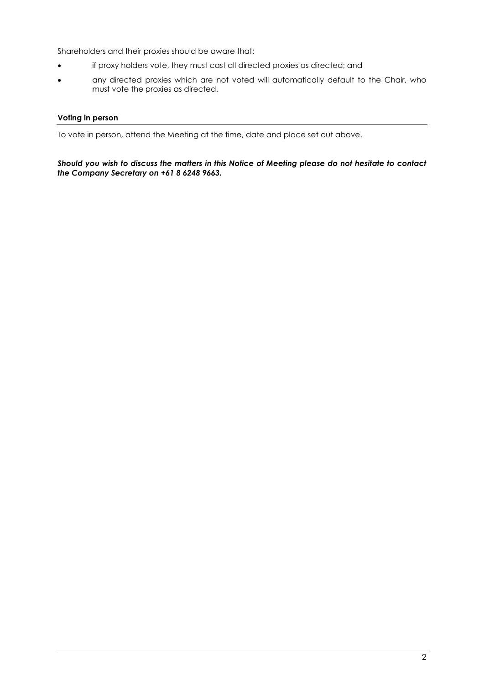Shareholders and their proxies should be aware that:

- if proxy holders vote, they must cast all directed proxies as directed; and
- any directed proxies which are not voted will automatically default to the Chair, who must vote the proxies as directed.

#### **Voting in person**

To vote in person, attend the Meeting at the time, date and place set out above.

*Should you wish to discuss the matters in this Notice of Meeting please do not hesitate to contact the Company Secretary on +61 8 6248 9663.*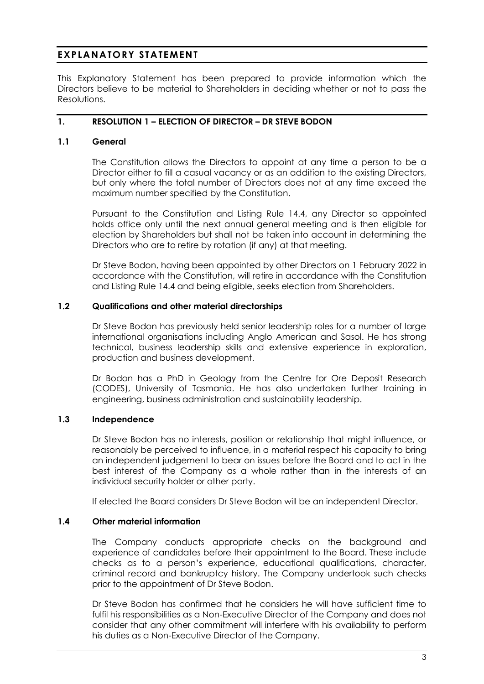# **EXPLANATORY STATEMENT**

This Explanatory Statement has been prepared to provide information which the Directors believe to be material to Shareholders in deciding whether or not to pass the Resolutions.

## **1. RESOLUTION [1](#page-2-1) – ELECTION OF DIRECTOR – DR STEVE BODON**

### **1.1 General**

The Constitution allows the Directors to appoint at any time a person to be a Director either to fill a casual vacancy or as an addition to the existing Directors, but only where the total number of Directors does not at any time exceed the maximum number specified by the Constitution.

Pursuant to the Constitution and Listing Rule 14.4, any Director so appointed holds office only until the next annual general meeting and is then eligible for election by Shareholders but shall not be taken into account in determining the Directors who are to retire by rotation (if any) at that meeting.

Dr Steve Bodon, having been appointed by other Directors on 1 February 2022 in accordance with the Constitution, will retire in accordance with the Constitution and Listing Rule 14.4 and being eligible, seeks election from Shareholders.

#### **1.2 Qualifications and other material directorships**

Dr Steve Bodon has previously held senior leadership roles for a number of large international organisations including Anglo American and Sasol. He has strong technical, business leadership skills and extensive experience in exploration, production and business development.

Dr Bodon has a PhD in Geology from the Centre for Ore Deposit Research (CODES), University of Tasmania. He has also undertaken further training in engineering, business administration and sustainability leadership.

# **1.3 Independence**

Dr Steve Bodon has no interests, position or relationship that might influence, or reasonably be perceived to influence, in a material respect his capacity to bring an independent judgement to bear on issues before the Board and to act in the best interest of the Company as a whole rather than in the interests of an individual security holder or other party.

If elected the Board considers Dr Steve Bodon will be an independent Director.

# **1.4 Other material information**

The Company conducts appropriate checks on the background and experience of candidates before their appointment to the Board. These include checks as to a person's experience, educational qualifications, character, criminal record and bankruptcy history. The Company undertook such checks prior to the appointment of Dr Steve Bodon.

Dr Steve Bodon has confirmed that he considers he will have sufficient time to fulfil his responsibilities as a Non-Executive Director of the Company and does not consider that any other commitment will interfere with his availability to perform his duties as a Non-Executive Director of the Company.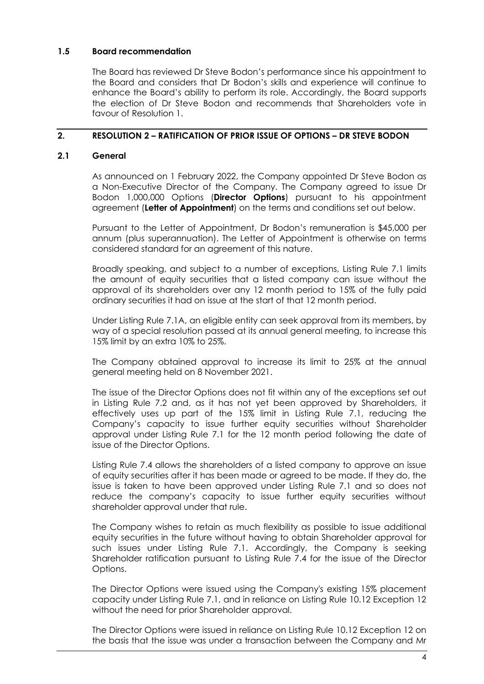#### **1.5 Board recommendation**

The Board has reviewed Dr Steve Bodon's performance since his appointment to the Board and considers that Dr Bodon's skills and experience will continue to enhance the Board's ability to perform its role. Accordingly, the Board supports the election of Dr Steve Bodon and recommends that Shareholders vote in favour of Resolution [1.](#page-2-1)

## **2. RESOLUTION [2](#page-2-0) – RATIFICATION OF PRIOR ISSUE OF OPTIONS – DR STEVE BODON**

## <span id="page-7-0"></span>**2.1 General**

As announced on 1 February 2022, the Company appointed Dr Steve Bodon as a Non-Executive Director of the Company. The Company agreed to issue Dr Bodon 1,000,000 Options (**Director Options**) pursuant to his appointment agreement (**Letter of Appointment**) on the terms and conditions set out below.

Pursuant to the Letter of Appointment, Dr Bodon's remuneration is \$45,000 per annum (plus superannuation). The Letter of Appointment is otherwise on terms considered standard for an agreement of this nature.

Broadly speaking, and subject to a number of exceptions, Listing Rule 7.1 limits the amount of equity securities that a listed company can issue without the approval of its shareholders over any 12 month period to 15% of the fully paid ordinary securities it had on issue at the start of that 12 month period.

Under Listing Rule 7.1A, an eligible entity can seek approval from its members, by way of a special resolution passed at its annual general meeting, to increase this 15% limit by an extra 10% to 25%.

The Company obtained approval to increase its limit to 25% at the annual general meeting held on 8 November 2021.

The issue of the Director Options does not fit within any of the exceptions set out in Listing Rule 7.2 and, as it has not yet been approved by Shareholders, it effectively uses up part of the 15% limit in Listing Rule 7.1, reducing the Company's capacity to issue further equity securities without Shareholder approval under Listing Rule 7.1 for the 12 month period following the date of issue of the Director Options.

Listing Rule 7.4 allows the shareholders of a listed company to approve an issue of equity securities after it has been made or agreed to be made. If they do, the issue is taken to have been approved under Listing Rule 7.1 and so does not reduce the company's capacity to issue further equity securities without shareholder approval under that rule.

The Company wishes to retain as much flexibility as possible to issue additional equity securities in the future without having to obtain Shareholder approval for such issues under Listing Rule 7.1. Accordingly, the Company is seeking Shareholder ratification pursuant to Listing Rule 7.4 for the issue of the Director Options.

The Director Options were issued using the Company's existing 15% placement capacity under Listing Rule 7.1, and in reliance on Listing Rule 10.12 Exception 12 without the need for prior Shareholder approval.

The Director Options were issued in reliance on Listing Rule 10.12 Exception 12 on the basis that the issue was under a transaction between the Company and Mr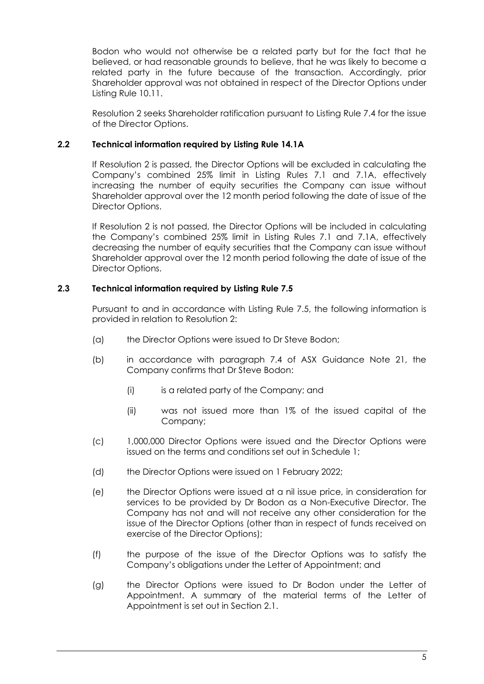Bodon who would not otherwise be a related party but for the fact that he believed, or had reasonable grounds to believe, that he was likely to become a related party in the future because of the transaction. Accordingly, prior Shareholder approval was not obtained in respect of the Director Options under Listing Rule 10.11.

Resolution [2](#page-2-0) seeks Shareholder ratification pursuant to Listing Rule 7.4 for the issue of the Director Options.

### **2.2 Technical information required by Listing Rule 14.1A**

If Resolution [2](#page-2-0) is passed, the Director Options will be excluded in calculating the Company's combined 25% limit in Listing Rules 7.1 and 7.1A, effectively increasing the number of equity securities the Company can issue without Shareholder approval over the 12 month period following the date of issue of the Director Options.

If Resolution [2](#page-2-0) is not passed, the Director Options will be included in calculating the Company's combined 25% limit in Listing Rules 7.1 and 7.1A, effectively decreasing the number of equity securities that the Company can issue without Shareholder approval over the 12 month period following the date of issue of the Director Options.

### **2.3 Technical information required by Listing Rule 7.5**

Pursuant to and in accordance with Listing Rule 7.5, the following information is provided in relation to Resolution [2:](#page-2-0)

- (a) the Director Options were issued to Dr Steve Bodon;
- (b) in accordance with paragraph 7.4 of ASX Guidance Note 21, the Company confirms that Dr Steve Bodon:
	- (i) is a related party of the Company; and
	- (ii) was not issued more than 1% of the issued capital of the Company;
- (c) 1,000,000 Director Options were issued and the Director Options were issued on the terms and conditions set out in Schedule 1;
- (d) the Director Options were issued on 1 February 2022;
- (e) the Director Options were issued at a nil issue price, in consideration for services to be provided by Dr Bodon as a Non-Executive Director. The Company has not and will not receive any other consideration for the issue of the Director Options (other than in respect of funds received on exercise of the Director Options);
- (f) the purpose of the issue of the Director Options was to satisfy the Company's obligations under the Letter of Appointment; and
- (g) the Director Options were issued to Dr Bodon under the Letter of Appointment. A summary of the material terms of the Letter of Appointment is set out in Section [2.1.](#page-7-0)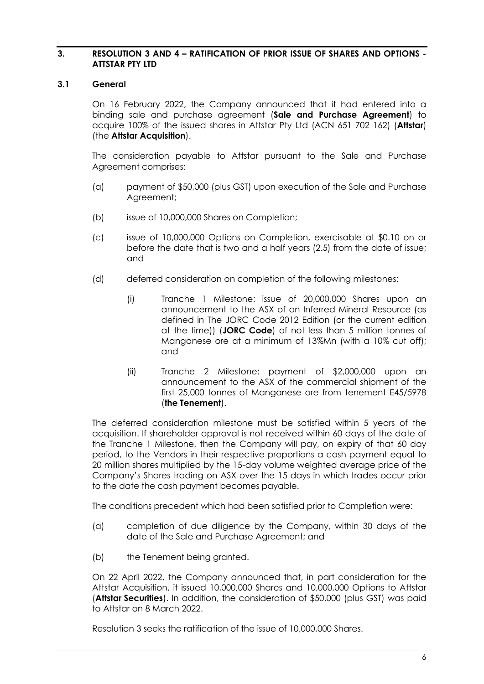#### **3. RESOLUTION 3 AND 4 – RATIFICATION OF PRIOR ISSUE OF SHARES AND OPTIONS - ATTSTAR PTY LTD**

#### <span id="page-9-0"></span>**3.1 General**

On 16 February 2022, the Company announced that it had entered into a binding sale and purchase agreement (**Sale and Purchase Agreement**) to acquire 100% of the issued shares in Attstar Pty Ltd (ACN 651 702 162) (**Attstar**) (the **Attstar Acquisition**).

The consideration payable to Attstar pursuant to the Sale and Purchase Agreement comprises:

- (a) payment of \$50,000 (plus GST) upon execution of the Sale and Purchase Agreement;
- (b) issue of 10,000,000 Shares on Completion;
- (c) issue of 10,000,000 Options on Completion, exercisable at \$0.10 on or before the date that is two and a half years (2.5) from the date of issue; and
- (d) deferred consideration on completion of the following milestones:
	- (i) Tranche 1 Milestone: issue of 20,000,000 Shares upon an announcement to the ASX of an Inferred Mineral Resource (as defined in The JORC Code 2012 Edition (or the current edition at the time)) (**JORC Code**) of not less than 5 million tonnes of Manganese ore at a minimum of 13%Mn (with a 10% cut off); and
	- (ii) Tranche 2 Milestone: payment of \$2,000,000 upon an announcement to the ASX of the commercial shipment of the first 25,000 tonnes of Manganese ore from tenement E45/5978 (**the Tenement**).

The deferred consideration milestone must be satisfied within 5 years of the acquisition. If shareholder approval is not received within 60 days of the date of the Tranche 1 Milestone, then the Company will pay, on expiry of that 60 day period, to the Vendors in their respective proportions a cash payment equal to 20 million shares multiplied by the 15-day volume weighted average price of the Company's Shares trading on ASX over the 15 days in which trades occur prior to the date the cash payment becomes payable.

The conditions precedent which had been satisfied prior to Completion were:

- (a) completion of due diligence by the Company, within 30 days of the date of the Sale and Purchase Agreement; and
- (b) the Tenement being granted.

On 22 April 2022, the Company announced that, in part consideration for the Attstar Acquisition, it issued 10,000,000 Shares and 10,000,000 Options to Attstar (**Attstar Securities**). In addition, the consideration of \$50,000 (plus GST) was paid to Attstar on 8 March 2022.

Resolution 3 seeks the ratification of the issue of 10,000,000 Shares.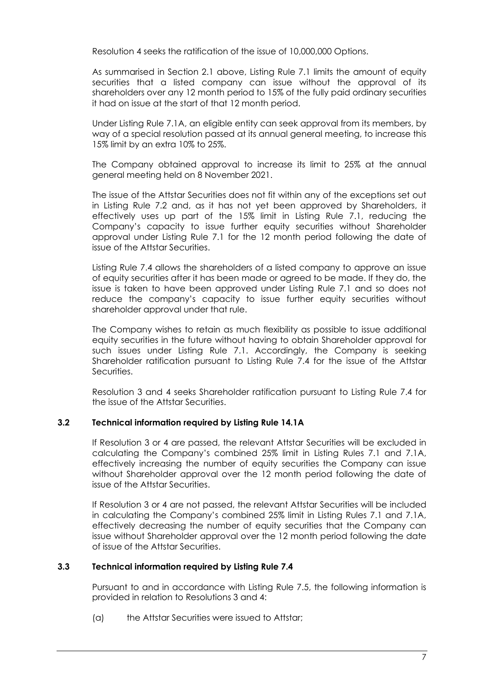Resolution 4 seeks the ratification of the issue of 10,000,000 Options.

As summarised in Section [2.1](#page-7-0) above, Listing Rule 7.1 limits the amount of equity securities that a listed company can issue without the approval of its shareholders over any 12 month period to 15% of the fully paid ordinary securities it had on issue at the start of that 12 month period.

Under Listing Rule 7.1A, an eligible entity can seek approval from its members, by way of a special resolution passed at its annual general meeting, to increase this 15% limit by an extra 10% to 25%.

The Company obtained approval to increase its limit to 25% at the annual general meeting held on 8 November 2021.

The issue of the Attstar Securities does not fit within any of the exceptions set out in Listing Rule 7.2 and, as it has not yet been approved by Shareholders, it effectively uses up part of the 15% limit in Listing Rule 7.1, reducing the Company's capacity to issue further equity securities without Shareholder approval under Listing Rule 7.1 for the 12 month period following the date of issue of the Attstar Securities.

Listing Rule 7.4 allows the shareholders of a listed company to approve an issue of equity securities after it has been made or agreed to be made. If they do, the issue is taken to have been approved under Listing Rule 7.1 and so does not reduce the company's capacity to issue further equity securities without shareholder approval under that rule.

The Company wishes to retain as much flexibility as possible to issue additional equity securities in the future without having to obtain Shareholder approval for such issues under Listing Rule 7.1. Accordingly, the Company is seeking Shareholder ratification pursuant to Listing Rule 7.4 for the issue of the Attstar Securities.

Resolution 3 and 4 seeks Shareholder ratification pursuant to Listing Rule 7.4 for the issue of the Attstar Securities.

#### **3.2 Technical information required by Listing Rule 14.1A**

If Resolution 3 or 4 are passed, the relevant Attstar Securities will be excluded in calculating the Company's combined 25% limit in Listing Rules 7.1 and 7.1A, effectively increasing the number of equity securities the Company can issue without Shareholder approval over the 12 month period following the date of issue of the Attstar Securities.

If Resolution 3 or 4 are not passed, the relevant Attstar Securities will be included in calculating the Company's combined 25% limit in Listing Rules 7.1 and 7.1A, effectively decreasing the number of equity securities that the Company can issue without Shareholder approval over the 12 month period following the date of issue of the Attstar Securities.

#### **3.3 Technical information required by Listing Rule 7.4**

Pursuant to and in accordance with Listing Rule 7.5, the following information is provided in relation to Resolutions 3 and 4:

(a) the Attstar Securities were issued to Attstar;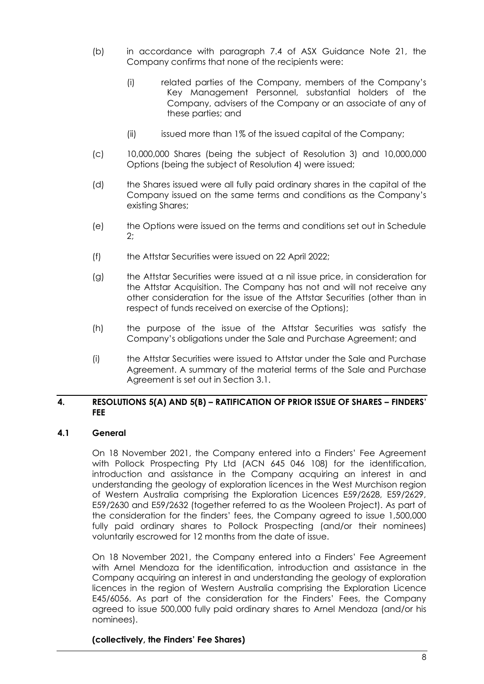- (b) in accordance with paragraph 7.4 of ASX Guidance Note 21, the Company confirms that none of the recipients were:
	- (i) related parties of the Company, members of the Company's Key Management Personnel, substantial holders of the Company, advisers of the Company or an associate of any of these parties; and
	- (ii) issued more than 1% of the issued capital of the Company;
- (c) 10,000,000 Shares (being the subject of Resolution 3) and 10,000,000 Options (being the subject of Resolution 4) were issued;
- (d) the Shares issued were all fully paid ordinary shares in the capital of the Company issued on the same terms and conditions as the Company's existing Shares;
- (e) the Options were issued on the terms and conditions set out in Schedule 2;
- (f) the Attstar Securities were issued on 22 April 2022;
- (g) the Attstar Securities were issued at a nil issue price, in consideration for the Attstar Acquisition. The Company has not and will not receive any other consideration for the issue of the Attstar Securities (other than in respect of funds received on exercise of the Options);
- (h) the purpose of the issue of the Attstar Securities was satisfy the Company's obligations under the Sale and Purchase Agreement; and
- (i) the Attstar Securities were issued to Attstar under the Sale and Purchase Agreement. A summary of the material terms of the Sale and Purchase Agreement is set out in Section [3.1.](#page-9-0)

#### **4. RESOLUTIONS 5(A) AND 5(B) – RATIFICATION OF PRIOR ISSUE OF SHARES – FINDERS' FEE**

#### **4.1 General**

On 18 November 2021, the Company entered into a Finders' Fee Agreement with Pollock Prospecting Pty Ltd (ACN 645 046 108) for the identification, introduction and assistance in the Company acquiring an interest in and understanding the geology of exploration licences in the West Murchison region of Western Australia comprising the Exploration Licences E59/2628, E59/2629, E59/2630 and E59/2632 (together referred to as the Wooleen Project). As part of the consideration for the finders' fees, the Company agreed to issue 1,500,000 fully paid ordinary shares to Pollock Prospecting (and/or their nominees) voluntarily escrowed for 12 months from the date of issue.

On 18 November 2021, the Company entered into a Finders' Fee Agreement with Arnel Mendoza for the identification, introduction and assistance in the Company acquiring an interest in and understanding the geology of exploration licences in the region of Western Australia comprising the Exploration Licence E45/6056. As part of the consideration for the Finders' Fees, the Company agreed to issue 500,000 fully paid ordinary shares to Arnel Mendoza (and/or his nominees).

#### **(collectively, the Finders' Fee Shares)**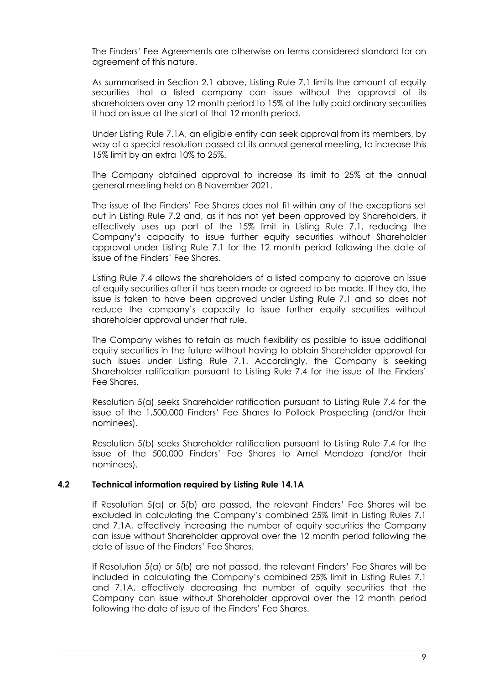The Finders' Fee Agreements are otherwise on terms considered standard for an agreement of this nature.

As summarised in Section 2.1 above, Listing Rule 7.1 limits the amount of equity securities that a listed company can issue without the approval of its shareholders over any 12 month period to 15% of the fully paid ordinary securities it had on issue at the start of that 12 month period.

Under Listing Rule 7.1A, an eligible entity can seek approval from its members, by way of a special resolution passed at its annual general meeting, to increase this 15% limit by an extra 10% to 25%.

The Company obtained approval to increase its limit to 25% at the annual general meeting held on 8 November 2021.

The issue of the Finders' Fee Shares does not fit within any of the exceptions set out in Listing Rule 7.2 and, as it has not yet been approved by Shareholders, it effectively uses up part of the 15% limit in Listing Rule 7.1, reducing the Company's capacity to issue further equity securities without Shareholder approval under Listing Rule 7.1 for the 12 month period following the date of issue of the Finders' Fee Shares.

Listing Rule 7.4 allows the shareholders of a listed company to approve an issue of equity securities after it has been made or agreed to be made. If they do, the issue is taken to have been approved under Listing Rule 7.1 and so does not reduce the company's capacity to issue further equity securities without shareholder approval under that rule.

The Company wishes to retain as much flexibility as possible to issue additional equity securities in the future without having to obtain Shareholder approval for such issues under Listing Rule 7.1. Accordingly, the Company is seeking Shareholder ratification pursuant to Listing Rule 7.4 for the issue of the Finders' Fee Shares.

Resolution 5(a) seeks Shareholder ratification pursuant to Listing Rule 7.4 for the issue of the 1,500,000 Finders' Fee Shares to Pollock Prospecting (and/or their nominees).

Resolution 5(b) seeks Shareholder ratification pursuant to Listing Rule 7.4 for the issue of the 500,000 Finders' Fee Shares to Arnel Mendoza (and/or their nominees).

#### **4.2 Technical information required by Listing Rule 14.1A**

If Resolution 5(a) or 5(b) are passed, the relevant Finders' Fee Shares will be excluded in calculating the Company's combined 25% limit in Listing Rules 7.1 and 7.1A, effectively increasing the number of equity securities the Company can issue without Shareholder approval over the 12 month period following the date of issue of the Finders' Fee Shares.

If Resolution 5(a) or 5(b) are not passed, the relevant Finders' Fee Shares will be included in calculating the Company's combined 25% limit in Listing Rules 7.1 and 7.1A, effectively decreasing the number of equity securities that the Company can issue without Shareholder approval over the 12 month period following the date of issue of the Finders' Fee Shares.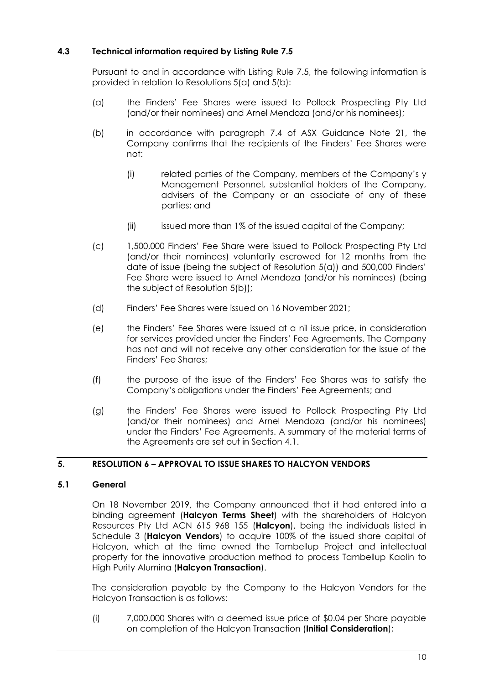# **4.3 Technical information required by Listing Rule 7.5**

Pursuant to and in accordance with Listing Rule 7.5, the following information is provided in relation to Resolutions 5(a) and 5(b):

- (a) the Finders' Fee Shares were issued to Pollock Prospecting Pty Ltd (and/or their nominees) and Arnel Mendoza (and/or his nominees);
- (b) in accordance with paragraph 7.4 of ASX Guidance Note 21, the Company confirms that the recipients of the Finders' Fee Shares were not:
	- (i) related parties of the Company, members of the Company's y Management Personnel, substantial holders of the Company, advisers of the Company or an associate of any of these parties; and
	- (ii) issued more than 1% of the issued capital of the Company;
- (c) 1,500,000 Finders' Fee Share were issued to Pollock Prospecting Pty Ltd (and/or their nominees) voluntarily escrowed for 12 months from the date of issue (being the subject of Resolution 5(a)) and 500,000 Finders' Fee Share were issued to Arnel Mendoza (and/or his nominees) (being the subject of Resolution 5(b));
- (d) Finders' Fee Shares were issued on 16 November 2021;
- (e) the Finders' Fee Shares were issued at a nil issue price, in consideration for services provided under the Finders' Fee Agreements. The Company has not and will not receive any other consideration for the issue of the Finders' Fee Shares;
- (f) the purpose of the issue of the Finders' Fee Shares was to satisfy the Company's obligations under the Finders' Fee Agreements; and
- (g) the Finders' Fee Shares were issued to Pollock Prospecting Pty Ltd (and/or their nominees) and Arnel Mendoza (and/or his nominees) under the Finders' Fee Agreements. A summary of the material terms of the Agreements are set out in Section 4.1.

# **5. RESOLUTION 6 – APPROVAL TO ISSUE SHARES TO HALCYON VENDORS**

### **5.1 General**

On 18 November 2019, the Company announced that it had entered into a binding agreement (**Halcyon Terms Sheet**) with the shareholders of Halcyon Resources Pty Ltd ACN 615 968 155 (**Halcyon**), being the individuals listed in Schedule 3 (**Halcyon Vendors**) to acquire 100% of the issued share capital of Halcyon, which at the time owned the Tambellup Project and intellectual property for the innovative production method to process Tambellup Kaolin to High Purity Alumina (**Halcyon Transaction**).

The consideration payable by the Company to the Halcyon Vendors for the Halcyon Transaction is as follows:

(i) 7,000,000 Shares with a deemed issue price of \$0.04 per Share payable on completion of the Halcyon Transaction (**Initial Consideration**);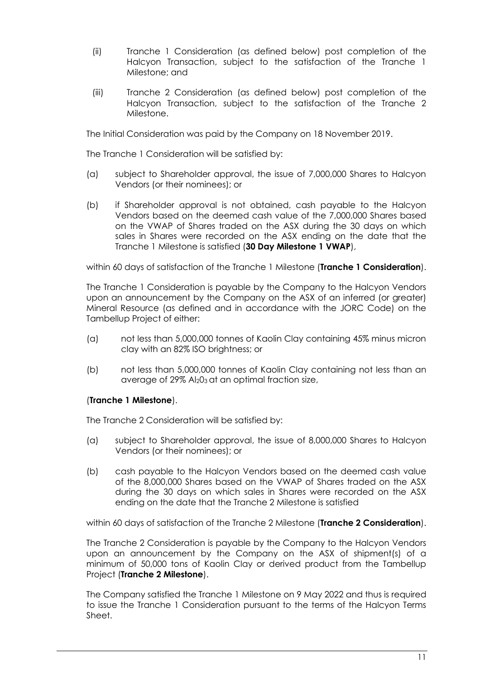- (ii) Tranche 1 Consideration (as defined below) post completion of the Halcyon Transaction, subject to the satisfaction of the Tranche 1 Milestone; and
- (iii) Tranche 2 Consideration (as defined below) post completion of the Halcyon Transaction, subject to the satisfaction of the Tranche 2 Milestone.

The Initial Consideration was paid by the Company on 18 November 2019.

The Tranche 1 Consideration will be satisfied by:

- (a) subject to Shareholder approval, the issue of 7,000,000 Shares to Halcyon Vendors (or their nominees); or
- (b) if Shareholder approval is not obtained, cash payable to the Halcyon Vendors based on the deemed cash value of the 7,000,000 Shares based on the VWAP of Shares traded on the ASX during the 30 days on which sales in Shares were recorded on the ASX ending on the date that the Tranche 1 Milestone is satisfied (**30 Day Milestone 1 VWAP**),

within 60 days of satisfaction of the Tranche 1 Milestone (**Tranche 1 Consideration**).

The Tranche 1 Consideration is payable by the Company to the Halcyon Vendors upon an announcement by the Company on the ASX of an inferred (or greater) Mineral Resource (as defined and in accordance with the JORC Code) on the Tambellup Project of either:

- (a) not less than 5,000,000 tonnes of Kaolin Clay containing 45% minus micron clay with an 82% ISO brightness; or
- (b) not less than 5,000,000 tonnes of Kaolin Clay containing not less than an average of 29% Al203 at an optimal fraction size,

#### (**Tranche 1 Milestone**).

The Tranche 2 Consideration will be satisfied by:

- (a) subject to Shareholder approval, the issue of 8,000,000 Shares to Halcyon Vendors (or their nominees); or
- (b) cash payable to the Halcyon Vendors based on the deemed cash value of the 8,000,000 Shares based on the VWAP of Shares traded on the ASX during the 30 days on which sales in Shares were recorded on the ASX ending on the date that the Tranche 2 Milestone is satisfied

within 60 days of satisfaction of the Tranche 2 Milestone (**Tranche 2 Consideration**).

The Tranche 2 Consideration is payable by the Company to the Halcyon Vendors upon an announcement by the Company on the ASX of shipment(s) of a minimum of 50,000 tons of Kaolin Clay or derived product from the Tambellup Project (**Tranche 2 Milestone**).

The Company satisfied the Tranche 1 Milestone on 9 May 2022 and thus is required to issue the Tranche 1 Consideration pursuant to the terms of the Halcyon Terms Sheet.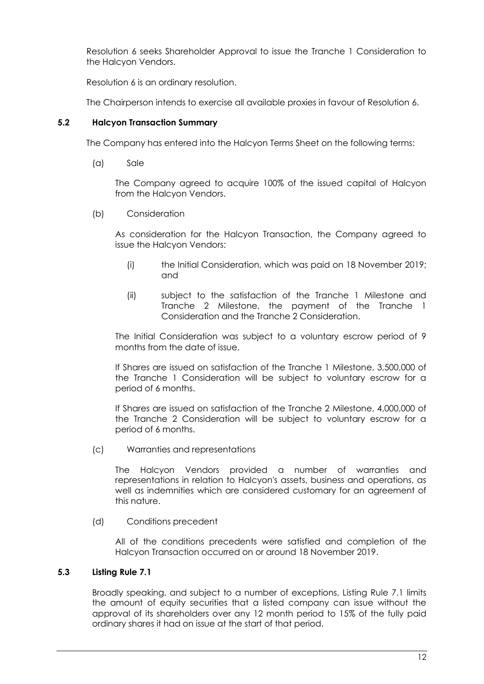Resolution 6 seeks Shareholder Approval to issue the Tranche 1 Consideration to the Halcyon Vendors.

Resolution 6 is an ordinary resolution.

The Chairperson intends to exercise all available proxies in favour of Resolution 6.

### **5.2 Halcyon Transaction Summary**

The Company has entered into the Halcyon Terms Sheet on the following terms:

(a) Sale

The Company agreed to acquire 100% of the issued capital of Halcyon from the Halcyon Vendors.

(b) Consideration

As consideration for the Halcyon Transaction, the Company agreed to issue the Halcyon Vendors:

- (i) the Initial Consideration, which was paid on 18 November 2019; and
- (ii) subject to the satisfaction of the Tranche 1 Milestone and Tranche 2 Milestone, the payment of the Tranche 1 Consideration and the Tranche 2 Consideration.

The Initial Consideration was subject to a voluntary escrow period of 9 months from the date of issue.

If Shares are issued on satisfaction of the Tranche 1 Milestone, 3,500,000 of the Tranche 1 Consideration will be subject to voluntary escrow for a period of 6 months.

If Shares are issued on satisfaction of the Tranche 2 Milestone, 4,000,000 of the Tranche 2 Consideration will be subject to voluntary escrow for a period of 6 months.

(c) Warranties and representations

The Halcyon Vendors provided a number of warranties and representations in relation to Halcyon's assets, business and operations, as well as indemnities which are considered customary for an agreement of this nature.

(d) Conditions precedent

All of the conditions precedents were satisfied and completion of the Halcyon Transaction occurred on or around 18 November 2019.

# **5.3 Listing Rule 7.1**

Broadly speaking, and subject to a number of exceptions, Listing Rule 7.1 limits the amount of equity securities that a listed company can issue without the approval of its shareholders over any 12 month period to 15% of the fully paid ordinary shares it had on issue at the start of that period.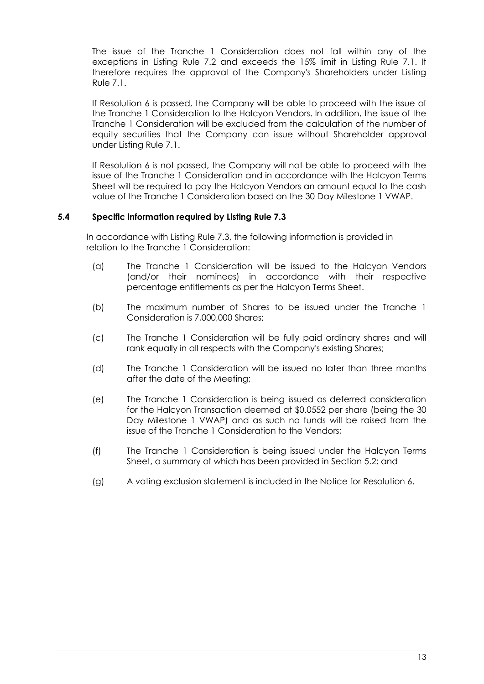The issue of the Tranche 1 Consideration does not fall within any of the exceptions in Listing Rule 7.2 and exceeds the 15% limit in Listing Rule 7.1. It therefore requires the approval of the Company's Shareholders under Listing Rule 7.1.

If Resolution 6 is passed, the Company will be able to proceed with the issue of the Tranche 1 Consideration to the Halcyon Vendors. In addition, the issue of the Tranche 1 Consideration will be excluded from the calculation of the number of equity securities that the Company can issue without Shareholder approval under Listing Rule 7.1.

If Resolution 6 is not passed, the Company will not be able to proceed with the issue of the Tranche 1 Consideration and in accordance with the Halcyon Terms Sheet will be required to pay the Halcyon Vendors an amount equal to the cash value of the Tranche 1 Consideration based on the 30 Day Milestone 1 VWAP.

### **5.4 Specific information required by Listing Rule 7.3**

In accordance with Listing Rule 7.3, the following information is provided in relation to the Tranche 1 Consideration:

- (a) The Tranche 1 Consideration will be issued to the Halcyon Vendors (and/or their nominees) in accordance with their respective percentage entitlements as per the Halcyon Terms Sheet.
- (b) The maximum number of Shares to be issued under the Tranche 1 Consideration is 7,000,000 Shares;
- (c) The Tranche 1 Consideration will be fully paid ordinary shares and will rank equally in all respects with the Company's existing Shares;
- (d) The Tranche 1 Consideration will be issued no later than three months after the date of the Meeting;
- (e) The Tranche 1 Consideration is being issued as deferred consideration for the Halcyon Transaction deemed at \$0.0552 per share (being the 30 Day Milestone 1 VWAP) and as such no funds will be raised from the issue of the Tranche 1 Consideration to the Vendors;
- (f) The Tranche 1 Consideration is being issued under the Halcyon Terms Sheet, a summary of which has been provided in Section 5.2; and
- (g) A voting exclusion statement is included in the Notice for Resolution 6.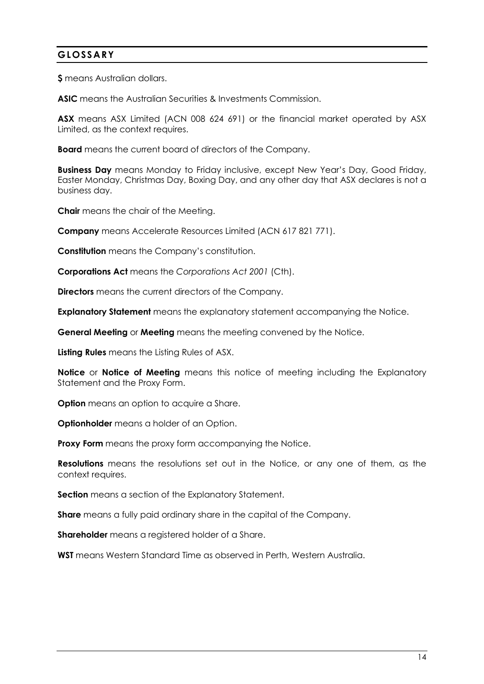# **GLOSSARY**

**\$** means Australian dollars.

**ASIC** means the Australian Securities & Investments Commission.

**ASX** means ASX Limited (ACN 008 624 691) or the financial market operated by ASX Limited, as the context requires.

**Board** means the current board of directors of the Company.

**Business Day** means Monday to Friday inclusive, except New Year's Day, Good Friday, Easter Monday, Christmas Day, Boxing Day, and any other day that ASX declares is not a business day.

**Chair** means the chair of the Meeting.

**Company** means Accelerate Resources Limited (ACN 617 821 771).

**Constitution** means the Company's constitution.

**Corporations Act** means the *Corporations Act 2001* (Cth).

**Directors** means the current directors of the Company.

**Explanatory Statement** means the explanatory statement accompanying the Notice.

**General Meeting** or **Meeting** means the meeting convened by the Notice.

**Listing Rules** means the Listing Rules of ASX.

**Notice** or **Notice of Meeting** means this notice of meeting including the Explanatory Statement and the Proxy Form.

**Option** means an option to acquire a Share.

**Optionholder** means a holder of an Option.

**Proxy Form** means the proxy form accompanying the Notice.

**Resolutions** means the resolutions set out in the Notice, or any one of them, as the context requires.

**Section** means a section of the Explanatory Statement.

**Share** means a fully paid ordinary share in the capital of the Company.

**Shareholder** means a registered holder of a Share.

**WST** means Western Standard Time as observed in Perth, Western Australia.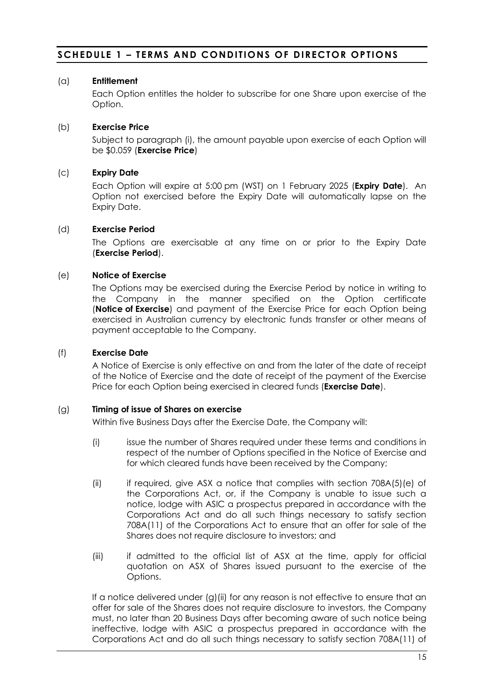# **SCHEDULE 1 – TERMS AND CONDITIONS OF DIRECTOR OPTIONS**

### (a) **Entitlement**

Each Option entitles the holder to subscribe for one Share upon exercise of the Option.

## (b) **Exercise Price**

Subject to paragraph [\(i\),](#page-19-0) the amount payable upon exercise of each Option will be \$0.059 (**Exercise Price**)

### (c) **Expiry Date**

Each Option will expire at 5:00 pm (WST) on 1 February 2025 (**Expiry Date**). An Option not exercised before the Expiry Date will automatically lapse on the Expiry Date.

#### (d) **Exercise Period**

The Options are exercisable at any time on or prior to the Expiry Date (**Exercise Period**).

### (e) **Notice of Exercise**

The Options may be exercised during the Exercise Period by notice in writing to the Company in the manner specified on the Option certificate (**Notice of Exercise**) and payment of the Exercise Price for each Option being exercised in Australian currency by electronic funds transfer or other means of payment acceptable to the Company.

### (f) **Exercise Date**

A Notice of Exercise is only effective on and from the later of the date of receipt of the Notice of Exercise and the date of receipt of the payment of the Exercise Price for each Option being exercised in cleared funds (**Exercise Date**).

#### <span id="page-18-0"></span>(g) **Timing of issue of Shares on exercise**

Within five Business Days after the Exercise Date, the Company will:

- (i) issue the number of Shares required under these terms and conditions in respect of the number of Options specified in the Notice of Exercise and for which cleared funds have been received by the Company;
- <span id="page-18-1"></span>(ii) if required, give ASX a notice that complies with section 708A(5)(e) of the Corporations Act, or, if the Company is unable to issue such a notice, lodge with ASIC a prospectus prepared in accordance with the Corporations Act and do all such things necessary to satisfy section 708A(11) of the Corporations Act to ensure that an offer for sale of the Shares does not require disclosure to investors; and
- (iii) if admitted to the official list of ASX at the time, apply for official quotation on ASX of Shares issued pursuant to the exercise of the Options.

If a notice delivered under [\(g\)](#page-18-0)[\(ii\)](#page-18-1) for any reason is not effective to ensure that an offer for sale of the Shares does not require disclosure to investors, the Company must, no later than 20 Business Days after becoming aware of such notice being ineffective, lodge with ASIC a prospectus prepared in accordance with the Corporations Act and do all such things necessary to satisfy section 708A(11) of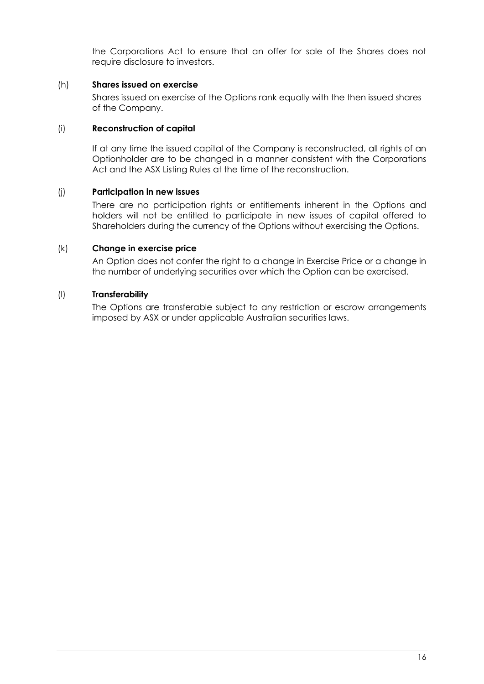the Corporations Act to ensure that an offer for sale of the Shares does not require disclosure to investors.

### (h) **Shares issued on exercise**

Shares issued on exercise of the Options rank equally with the then issued shares of the Company.

#### <span id="page-19-0"></span>(i) **Reconstruction of capital**

If at any time the issued capital of the Company is reconstructed, all rights of an Optionholder are to be changed in a manner consistent with the Corporations Act and the ASX Listing Rules at the time of the reconstruction.

#### (j) **Participation in new issues**

There are no participation rights or entitlements inherent in the Options and holders will not be entitled to participate in new issues of capital offered to Shareholders during the currency of the Options without exercising the Options.

### (k) **Change in exercise price**

An Option does not confer the right to a change in Exercise Price or a change in the number of underlying securities over which the Option can be exercised.

### (l) **Transferability**

The Options are transferable subject to any restriction or escrow arrangements imposed by ASX or under applicable Australian securities laws.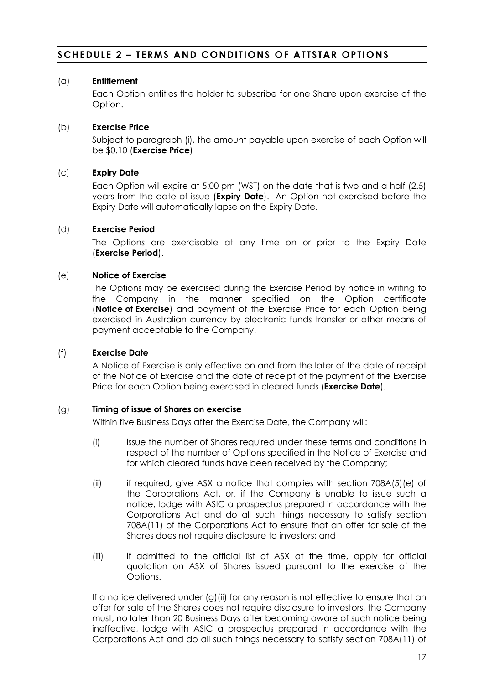# **SCHEDULE 2 – TERMS AND CONDITIONS OF AT TSTAR OPTIONS**

## (a) **Entitlement**

Each Option entitles the holder to subscribe for one Share upon exercise of the Option.

## (b) **Exercise Price**

Subject to paragraph (i), the amount payable upon exercise of each Option will be \$0.10 (**Exercise Price**)

### (c) **Expiry Date**

Each Option will expire at 5:00 pm (WST) on the date that is two and a half (2.5) years from the date of issue (**Expiry Date**). An Option not exercised before the Expiry Date will automatically lapse on the Expiry Date.

#### (d) **Exercise Period**

The Options are exercisable at any time on or prior to the Expiry Date (**Exercise Period**).

### (e) **Notice of Exercise**

The Options may be exercised during the Exercise Period by notice in writing to the Company in the manner specified on the Option certificate (**Notice of Exercise**) and payment of the Exercise Price for each Option being exercised in Australian currency by electronic funds transfer or other means of payment acceptable to the Company.

### (f) **Exercise Date**

A Notice of Exercise is only effective on and from the later of the date of receipt of the Notice of Exercise and the date of receipt of the payment of the Exercise Price for each Option being exercised in cleared funds (**Exercise Date**).

#### (g) **Timing of issue of Shares on exercise**

Within five Business Days after the Exercise Date, the Company will:

- (i) issue the number of Shares required under these terms and conditions in respect of the number of Options specified in the Notice of Exercise and for which cleared funds have been received by the Company;
- (ii) if required, give ASX a notice that complies with section 708A(5)(e) of the Corporations Act, or, if the Company is unable to issue such a notice, lodge with ASIC a prospectus prepared in accordance with the Corporations Act and do all such things necessary to satisfy section 708A(11) of the Corporations Act to ensure that an offer for sale of the Shares does not require disclosure to investors; and
- (iii) if admitted to the official list of ASX at the time, apply for official quotation on ASX of Shares issued pursuant to the exercise of the Options.

If a notice delivered under (g)(ii) for any reason is not effective to ensure that an offer for sale of the Shares does not require disclosure to investors, the Company must, no later than 20 Business Days after becoming aware of such notice being ineffective, lodge with ASIC a prospectus prepared in accordance with the Corporations Act and do all such things necessary to satisfy section 708A(11) of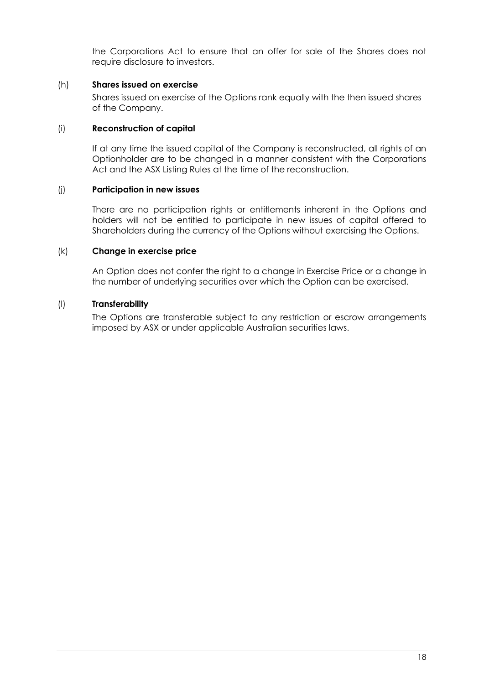the Corporations Act to ensure that an offer for sale of the Shares does not require disclosure to investors.

### (h) **Shares issued on exercise**

Shares issued on exercise of the Options rank equally with the then issued shares of the Company.

#### (i) **Reconstruction of capital**

If at any time the issued capital of the Company is reconstructed, all rights of an Optionholder are to be changed in a manner consistent with the Corporations Act and the ASX Listing Rules at the time of the reconstruction.

#### (j) **Participation in new issues**

There are no participation rights or entitlements inherent in the Options and holders will not be entitled to participate in new issues of capital offered to Shareholders during the currency of the Options without exercising the Options.

#### (k) **Change in exercise price**

An Option does not confer the right to a change in Exercise Price or a change in the number of underlying securities over which the Option can be exercised.

#### (l) **Transferability**

The Options are transferable subject to any restriction or escrow arrangements imposed by ASX or under applicable Australian securities laws.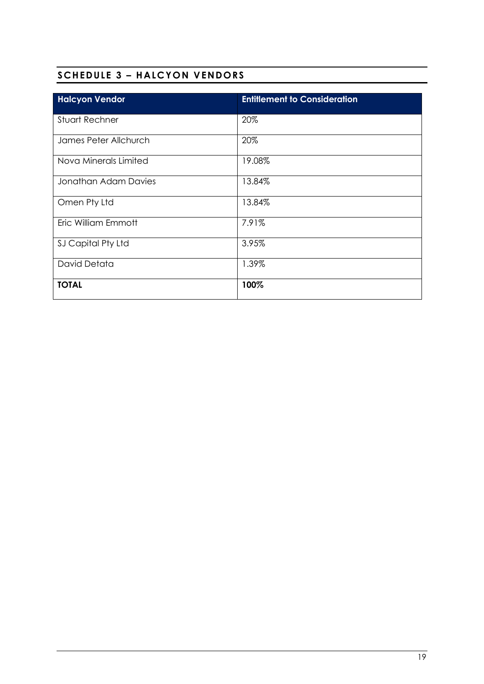# **SCHEDULE 3 – HALCYON VENDORS**

| <b>Halcyon Vendor</b> | <b>Entitlement to Consideration</b> |
|-----------------------|-------------------------------------|
| <b>Stuart Rechner</b> | 20%                                 |
| James Peter Allchurch | 20%                                 |
| Nova Minerals Limited | 19.08%                              |
| Jonathan Adam Davies  | 13.84%                              |
| Omen Pty Ltd          | 13.84%                              |
| Eric William Emmott   | 7.91%                               |
| SJ Capital Pty Ltd    | 3.95%                               |
| David Detata          | 1.39%                               |
| <b>TOTAL</b>          | 100%                                |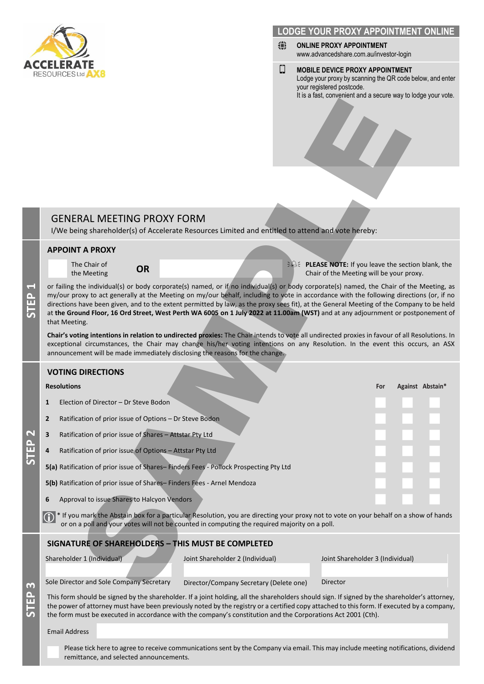

#### **LODGE YOUR PROXY APPOINTMENT ONL**

- ⊕ **ONLINE PROXY APPOINTMENT** www.advancedshare.com.au/investor-login
- Ω **MOBILE DEVICE PROXY APPOINTMENT** Lodge your proxy by scanning the QR code below, and enter your registered postcode. It is a fast, convenient and a secure way to lodge your vote.

# GENERAL MEETING PROXY FORM

I/We being shareholder(s) of Accelerate Resources Limited and entitled to attend and vote hereby:

#### **APPOINT A PROXY**

The Chair of

The Chair of **OR PLEASE NOTE:** If you leave the section blank, the the Meeting **PLEASE NOTE:** If you leave the section blank, the chair of the Meeting will be vour proxy. Chair of the Meeting will be your proxy.

or failing the individual(s) or body corporate(s) named, or if no individual(s) or body corporate(s) named, the Chair of the Meeting, as my/our proxy to act generally at the Meeting on my/our behalf, including to vote in accordance with the following directions (or, if no directions have been given, and to the extent permitted by law, as the proxy sees fit), at the General Meeting of the Company to be held at **the Ground Floor, 16 Ord Street, West Perth WA 6005 on 1 July 2022 at 11.00am (WST)** and at any adjournment or postponement of that Meeting. RAL MEETING PROXY FORM<br>
TA PROXY FORM<br>
TA PROXY FORM<br>
SCALE TO PROXY FORM<br>
SCALE TO PROXY FORM<br>
SCALE TO PROXY FORM<br>
SCALE TO THE TRIVIAL CONTINUES OF THE TRIVIAL CONTINUES IN THE CONTINUES INTO THE METHANISM (INCLUSION TH

**Chair's voting intentions in relation to undirected proxies:** The Chair intends to vote all undirected proxies in favour of all Resolutions. In exceptional circumstances, the Chair may change his/her voting intentions on any Resolution. In the event this occurs, an ASX announcement will be made immediately disclosing the reasons for the change.

#### **VOTING DIRECTIONS**

#### **Resolutions For Against Abstain\***

**STEP** 

**STEP 2**

**STEP 3**

**1**

- **<sup>1</sup>** Election of Director Dr Steve Bodon ◼ ◼ ◼
	- **2** Ratification of prior issue of Options Dr Steve Bodon
- **3** Ratification of prior issue of Shares Attstar Pty Ltd
- **4** Ratification of prior issue of Options Attstar Pty Ltd

**5(a)** Ratification of prior issue of Shares-Finders Fees - Pollock Prospecting Pty Ltd

**5(b)** Ratification of prior issue of Shares– Finders Fees - Arnel Mendoza

**6** Approval to issue Shares to Halcyon Vendors

\* If you mark the Abstain box for a particular Resolution, you are directing your proxy not to vote on your behalf on a show of hands or on a poll and your votes will not be counted in computing the required majority on a poll.  $\bigcirc$ 

#### **SIGNATURE OF SHAREHOLDERS – THIS MUST BE COMPLETED**

Shareholder 1 (Individual) Joint Shareholder 2 (Individual) Joint Shareholder 3 (Individual)

Sole Director and Sole Company Secretary Director/Company Secretary (Delete one) Director

This form should be signed by the shareholder. If a joint holding, all the shareholders should sign. If signed by the shareholder's attorney, the power of attorney must have been previously noted by the registry or a certified copy attached to this form. If executed by a company, the form must be executed in accordance with the company's constitution and the Corporations Act 2001 (Cth).

Email Address

Please tick here to agree to receive communications sent by the Company via email. This may include meeting notifications, dividend remittance, and selected announcements.